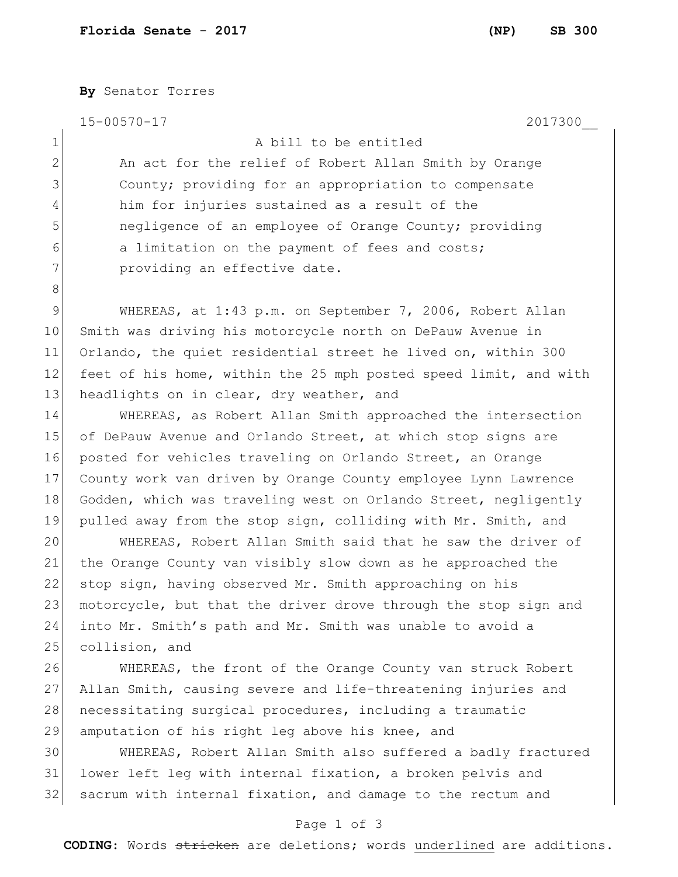1 A bill to be entitled

**By** Senator Torres

15-00570-17 2017300\_\_

8

2 An act for the relief of Robert Allan Smith by Orange County; providing for an appropriation to compensate him for injuries sustained as a result of the negligence of an employee of Orange County; providing 6 6 a limitation on the payment of fees and costs; **providing an effective date.** 

9 WHEREAS, at 1:43 p.m. on September 7, 2006, Robert Allan 10 Smith was driving his motorcycle north on DePauw Avenue in 11 Orlando, the quiet residential street he lived on, within 300 12 feet of his home, within the 25 mph posted speed limit, and with 13 headlights on in clear, dry weather, and

14 WHEREAS, as Robert Allan Smith approached the intersection 15 of DePauw Avenue and Orlando Street, at which stop signs are 16 posted for vehicles traveling on Orlando Street, an Orange 17 County work van driven by Orange County employee Lynn Lawrence 18 Godden, which was traveling west on Orlando Street, negligently 19 pulled away from the stop sign, colliding with Mr. Smith, and

20 WHEREAS, Robert Allan Smith said that he saw the driver of 21 the Orange County van visibly slow down as he approached the 22 stop sign, having observed Mr. Smith approaching on his 23 motorcycle, but that the driver drove through the stop sign and 24 into Mr. Smith's path and Mr. Smith was unable to avoid a 25 collision, and

26 WHEREAS, the front of the Orange County van struck Robert 27 Allan Smith, causing severe and life-threatening injuries and 28 necessitating surgical procedures, including a traumatic 29 amputation of his right leg above his knee, and

30 WHEREAS, Robert Allan Smith also suffered a badly fractured 31 lower left leg with internal fixation, a broken pelvis and 32 sacrum with internal fixation, and damage to the rectum and

## Page 1 of 3

**CODING**: Words stricken are deletions; words underlined are additions.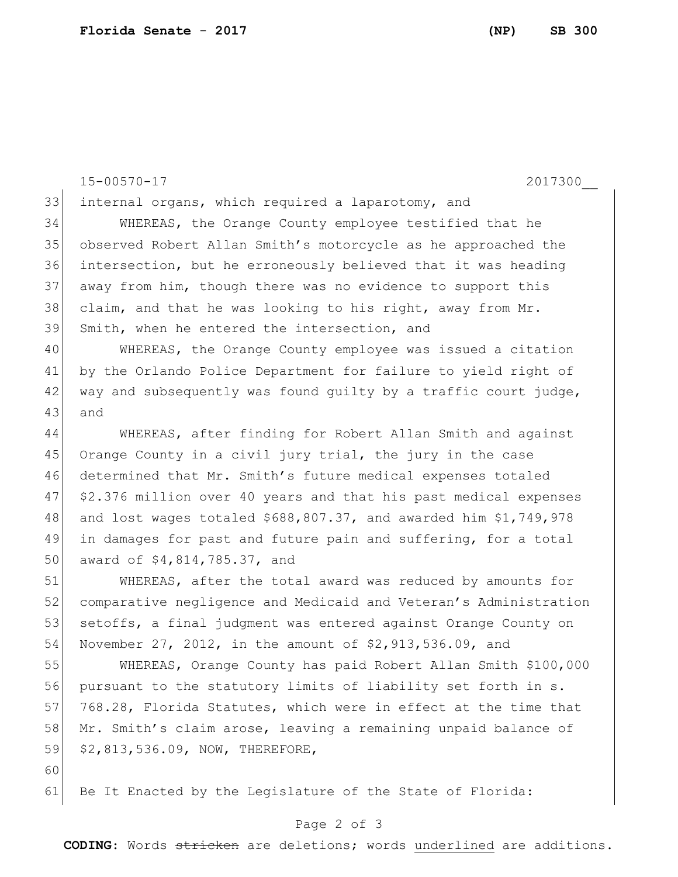15-00570-17 2017300\_\_ internal organs, which required a laparotomy, and WHEREAS, the Orange County employee testified that he observed Robert Allan Smith's motorcycle as he approached the intersection, but he erroneously believed that it was heading away from him, though there was no evidence to support this 38 claim, and that he was looking to his right, away from  $Mr$ . Smith, when he entered the intersection, and WHEREAS, the Orange County employee was issued a citation by the Orlando Police Department for failure to yield right of 42 way and subsequently was found guilty by a traffic court judge, 43 and WHEREAS, after finding for Robert Allan Smith and against 45 Orange County in a civil jury trial, the jury in the case determined that Mr. Smith's future medical expenses totaled \$2.376 million over 40 years and that his past medical expenses 48 and lost wages totaled  $$688,807.37$ , and awarded him  $$1,749,978$ 49 in damages for past and future pain and suffering, for a total 50 award of \$4,814,785.37, and WHEREAS, after the total award was reduced by amounts for comparative negligence and Medicaid and Veteran's Administration 53 setoffs, a final judgment was entered against Orange County on November 27, 2012, in the amount of \$2,913,536.09, and

55 WHEREAS, Orange County has paid Robert Allan Smith \$100,000 56 pursuant to the statutory limits of liability set forth in s. 57 768.28, Florida Statutes, which were in effect at the time that 58 Mr. Smith's claim arose, leaving a remaining unpaid balance of 59 \$2,813,536.09, NOW, THEREFORE,

61 Be It Enacted by the Legislature of the State of Florida:

60

## Page 2 of 3

**CODING**: Words stricken are deletions; words underlined are additions.